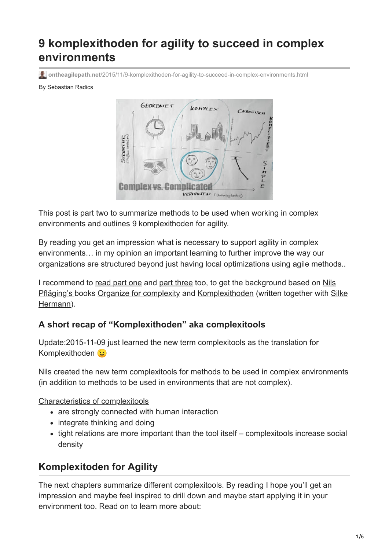# **9 komplexithoden for agility to succeed in complex environments**

**ontheagilepath.net**[/2015/11/9-komplexithoden-for-agility-to-succeed-in-complex-environments.html](https://www.ontheagilepath.net/2015/11/9-komplexithoden-for-agility-to-succeed-in-complex-environments.html)

#### By Sebastian Radics



This post is part two to summarize methods to be used when working in complex environments and outlines 9 komplexithoden for agility.

By reading you get an impression what is necessary to support agility in complex environments… in my opinion an important learning to further improve the way our organizations are structured beyond just having local optimizations using agile methods..

[I recommend to read part one and part three too, to get the background based on Nils](http://www.nielspflaeging.com/) [Pfläging's books](http://beta.silkehermann.de/) [Organize for complexit](http://www.organizeforcomplexity.com/shop/)[y and](http://beta.silkehermann.de/) [Komplexithoden](http://www.amazon.de/Komplexithoden-Clevere-Belebung-Unternehmen-Komplexit%C3%A4t/dp/3868815864) [\(written together with Silke](http://beta.silkehermann.de/) Hermann).

## **A short recap of "Komplexithoden" aka complexitools**

Update:2015-11-09 just learned the new term complexitools as the translation for Komplexithoden

Nils created the new term complexitools for methods to be used in complex environments (in addition to methods to be used in environments that are not complex).

Characteristics of complexitools

- are strongly connected with human interaction
- integrate thinking and doing
- tight relations are more important than the tool itself complexitools increase social density

## **Komplexitoden for Agility**

The next chapters summarize different complexitools. By reading I hope you'll get an impression and maybe feel inspired to drill down and maybe start applying it in your environment too. Read on to learn more about: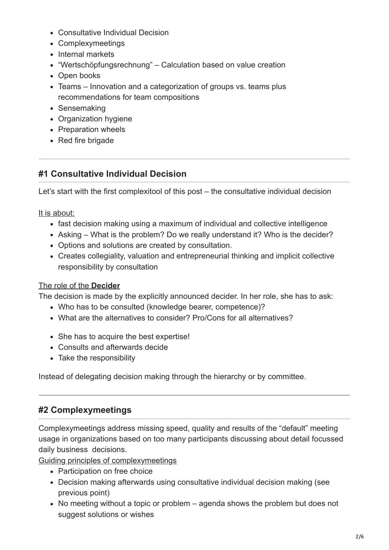- Consultative Individual Decision
- Complexymeetings
- Internal markets
- "Wertschöpfungsrechnung" Calculation based on value creation
- Open books
- Teams Innovation and a categorization of groups vs. teams plus recommendations for team compositions
- Sensemaking
- Organization hygiene
- Preparation wheels
- Red fire brigade

## **#1 Consultative Individual Decision**

Let's start with the first complexitool of this post – the consultative individual decision

It is about:

- fast decision making using a maximum of individual and collective intelligence
- Asking What is the problem? Do we really understand it? Who is the decider?
- Options and solutions are created by consultation.
- Creates collegiality, valuation and entrepreneurial thinking and implicit collective responsibility by consultation

#### The role of the **Decider**

The decision is made by the explicitly announced decider. In her role, she has to ask:

- Who has to be consulted (knowledge bearer, competence)?
- What are the alternatives to consider? Pro/Cons for all alternatives?
- She has to acquire the best expertise!
- Consults and afterwards decide
- Take the responsibility

Instead of delegating decision making through the hierarchy or by committee.

## **#2 Complexymeetings**

Complexymeetings address missing speed, quality and results of the "default" meeting usage in organizations based on too many participants discussing about detail focussed daily business decisions.

Guiding principles of complexymeetings

- Participation on free choice
- Decision making afterwards using consultative individual decision making (see previous point)
- No meeting without a topic or problem agenda shows the problem but does not suggest solutions or wishes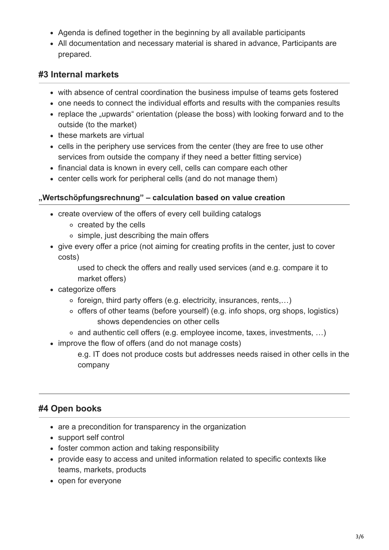- Agenda is defined together in the beginning by all available participants
- All documentation and necessary material is shared in advance, Participants are prepared.

## **#3 Internal markets**

- with absence of central coordination the business impulse of teams gets fostered
- one needs to connect the individual efforts and results with the companies results
- replace the "upwards" orientation (please the boss) with looking forward and to the outside (to the market)
- these markets are virtual
- cells in the periphery use services from the center (they are free to use other services from outside the company if they need a better fitting service)
- financial data is known in every cell, cells can compare each other
- center cells work for peripheral cells (and do not manage them)

#### **"Wertschöpfungsrechnung" – calculation based on value creation**

- create overview of the offers of every cell building catalogs
	- o created by the cells
	- simple, just describing the main offers
- give every offer a price (not aiming for creating profits in the center, just to cover costs)

used to check the offers and really used services (and e.g. compare it to market offers)

- categorize offers
	- $\circ$  foreign, third party offers (e.g. electricity, insurances, rents,...)
	- $\circ$  offers of other teams (before yourself) (e.g. info shops, org shops, logistics) shows dependencies on other cells
	- and authentic cell offers (e.g. employee income, taxes, investments, …)
- improve the flow of offers (and do not manage costs)

e.g. IT does not produce costs but addresses needs raised in other cells in the company

## **#4 Open books**

- are a precondition for transparency in the organization
- support self control
- foster common action and taking responsibility
- provide easy to access and united information related to specific contexts like teams, markets, products
- open for everyone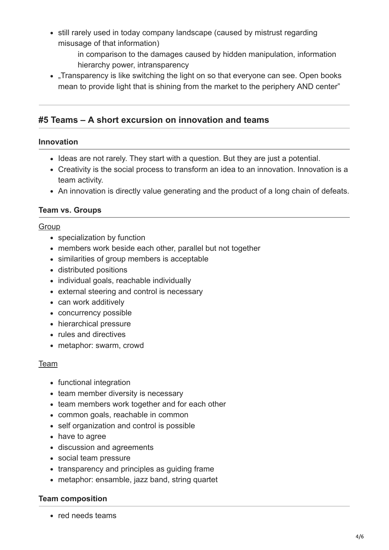- still rarely used in today company landscape (caused by mistrust regarding misusage of that information)
	- in comparison to the damages caused by hidden manipulation, information hierarchy power, intransparency
- Transparency is like switching the light on so that everyone can see. Open books mean to provide light that is shining from the market to the periphery AND center"

## **#5 Teams – A short excursion on innovation and teams**

#### **Innovation**

- Ideas are not rarely. They start with a question. But they are just a potential.
- Creativity is the social process to transform an idea to an innovation. Innovation is a team activity.
- An innovation is directly value generating and the product of a long chain of defeats.

#### **Team vs. Groups**

#### **Group**

- specialization by function
- members work beside each other, parallel but not together
- similarities of group members is acceptable
- distributed positions
- individual goals, reachable individually
- external steering and control is necessary
- can work additively
- concurrency possible
- hierarchical pressure
- rules and directives
- metaphor: swarm, crowd

#### Team

- functional integration
- team member diversity is necessary
- team members work together and for each other
- common goals, reachable in common
- self organization and control is possible
- have to agree
- discussion and agreements
- social team pressure
- transparency and principles as quiding frame
- metaphor: ensamble, jazz band, string quartet

#### **Team composition**

• red needs teams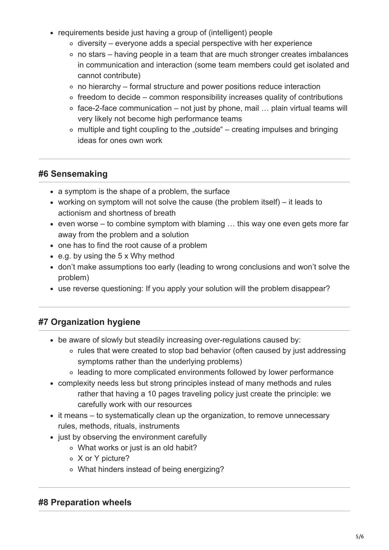- requirements beside just having a group of (intelligent) people
	- $\circ$  diversity everyone adds a special perspective with her experience
	- no stars having people in a team that are much stronger creates imbalances in communication and interaction (some team members could get isolated and cannot contribute)
	- $\circ$  no hierarchy formal structure and power positions reduce interaction
	- $\circ$  freedom to decide common responsibility increases quality of contributions
	- $\circ$  face-2-face communication not just by phone, mail ... plain virtual teams will very likely not become high performance teams
	- $\circ$  multiple and tight coupling to the "outside" creating impulses and bringing ideas for ones own work

## **#6 Sensemaking**

- a symptom is the shape of a problem, the surface
- working on symptom will not solve the cause (the problem itself) it leads to actionism and shortness of breath
- even worse to combine symptom with blaming  $\ldots$  this way one even gets more far away from the problem and a solution
- one has to find the root cause of a problem
- e.g. by using the 5 x Why method
- don't make assumptions too early (leading to wrong conclusions and won't solve the problem)
- use reverse questioning: If you apply your solution will the problem disappear?

## **#7 Organization hygiene**

- be aware of slowly but steadily increasing over-regulations caused by:
	- rules that were created to stop bad behavior (often caused by just addressing symptoms rather than the underlying problems)
	- leading to more complicated environments followed by lower performance
- complexity needs less but strong principles instead of many methods and rules rather that having a 10 pages traveling policy just create the principle: we carefully work with our resources
- it means to systematically clean up the organization, to remove unnecessary rules, methods, rituals, instruments
- just by observing the environment carefully
	- What works or just is an old habit?
	- X or Y picture?
	- What hinders instead of being energizing?

#### **#8 Preparation wheels**